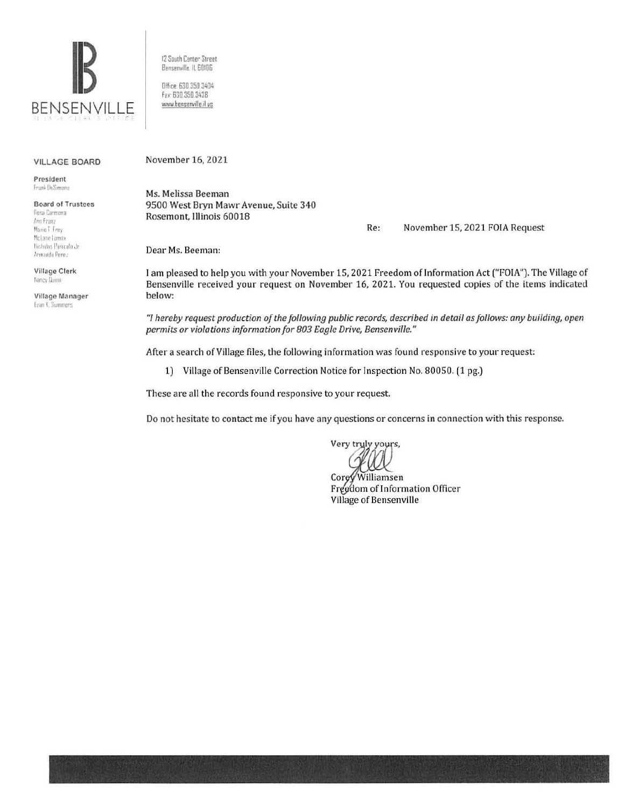

12 South Center Street Benserwille. IL 60106 Dffice: 630.350.3404

Fax 630 350 3438 www.bensenville.il us

## VILLAGE BOARD

President Frank DeSimone

Board of Trustees **Rosa Carmona** l . *.,n* **Fran:**  Marie T. Frey<br>McLane Lomax Nichalas Panicola Jr Armando Perez-

Village Clerk Nancy (Jumn

Village Manager Evan K. Summers

November 16, 2021

Ms. Melissa Beeman 9500 West Bryn Mawr Avenue, Suite 340 Rosemont, Illinois 60018

Re: November 15, 2021 FOIA Request

Dear Ms. Beeman:

I am pleased to help you with your November 15,2021 Freedom of Information Act ("FOIA"). The Village of Bensenville received your request on November 16, 2021. You requested copies of the items indicated below:

*"I hereby request production of the following public records, described in detail as follows: any building, open permits or violations information for 803 Eagle Drive, Bensenville."* 

After a search of Village files, the following information was found responsive to your request:

1) Village of Bensenville Correction Notice for Inspection No. 80050. (1 pg.)

These are all the records found responsive to your request.

Do not hesitate to contact me if you have any questions or concerns in connection with this response.

Very truly yours,

Corey Williamsen Freedom of Information Officer Village of Bensenville